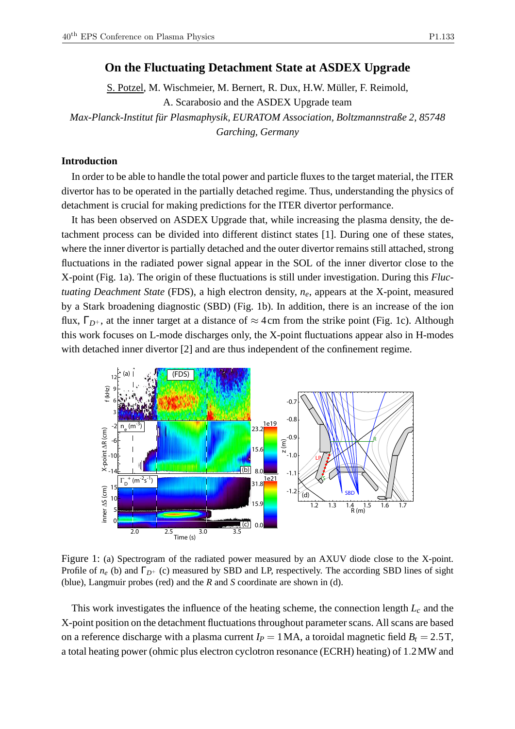S. Potzel, M. Wischmeier, M. Bernert, R. Dux, H.W. Müller, F. Reimold, A. Scarabosio and the ASDEX Upgrade team *Max-Planck-Institut für Plasmaphysik, EURATOM Association, Boltzmannstraße 2, 85748 Garching, Germany*

## **Introduction**

In order to be able to handle the total power and particle fluxes to the target material, the ITER divertor has to be operated in the partially detached regime. Thus, understanding the physics of detachment is crucial for making predictions for the ITER divertor performance.

It has been observed on ASDEX Upgrade that, while increasing the plasma density, the detachment process can be divided into different distinct states [1]. During one of these states, where the inner divertor is partially detached and the outer divertor remains still attached, strong fluctuations in the radiated power signal appear in the SOL of the inner divertor close to the X-point (Fig. 1a). The origin of these fluctuations is still under investigation. During this *Fluctuating Deachment State* (FDS), a high electron density, *ne*, appears at the X-point, measured by a Stark broadening diagnostic (SBD) (Fig. 1b). In addition, there is an increase of the ion flux,  $\Gamma_{D^+}$ , at the inner target at a distance of  $\approx$  4cm from the strike point (Fig. 1c). Although this work focuses on L-mode discharges only, the X-point fluctuations appear also in H-modes with detached inner divertor [2] and are thus independent of the confinement regime.



Figure 1: (a) Spectrogram of the radiated power measured by an AXUV diode close to the X-point. Profile of  $n_e$  (b) and  $\Gamma_{D^+}$  (c) measured by SBD and LP, respectively. The according SBD lines of sight (blue), Langmuir probes (red) and the *R* and *S* coordinate are shown in (d).

This work investigates the influence of the heating scheme, the connection length *L<sup>c</sup>* and the X-point position on the detachment fluctuations throughout parameter scans. All scans are based on a reference discharge with a plasma current  $I_P = 1 \text{ MA}$ , a toroidal magnetic field  $B_t = 2.5 \text{ T}$ , a total heating power (ohmic plus electron cyclotron resonance (ECRH) heating) of 1.2MW and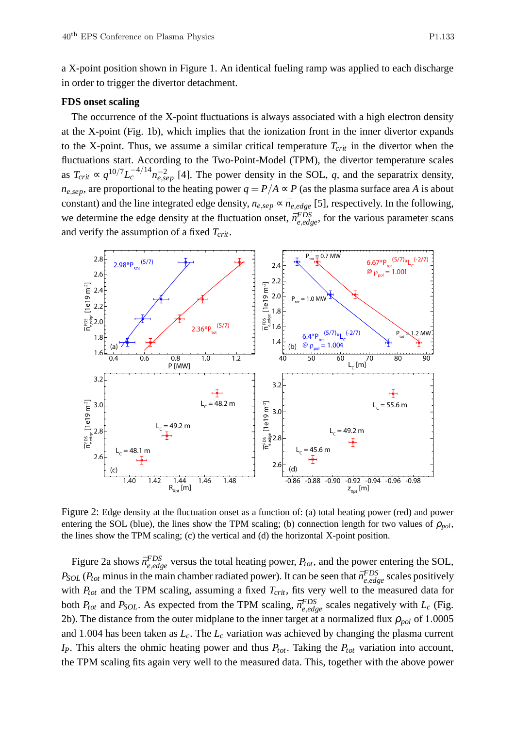a X-point position shown in Figure 1. An identical fueling ramp was applied to each discharge in order to trigger the divertor detachment.

### **FDS onset scaling**

The occurrence of the X-point fluctuations is always associated with a high electron density at the X-point (Fig. 1b), which implies that the ionization front in the inner divertor expands to the X-point. Thus, we assume a similar critical temperature  $T_{crit}$  in the divertor when the fluctuations start. According to the Two-Point-Model (TPM), the divertor temperature scales as  $T_{crit} \propto q^{10/7} L_c^{-4/14} n_{e,sep}^{-2}$  [4]. The power density in the SOL, *q*, and the separatrix density, *n*<sub>e,sep</sub>, are proportional to the heating power  $q = P/A \propto P$  (as the plasma surface area *A* is about constant) and the line integrated edge density,  $n_{e,sep} \propto \bar{n}_{e,edge}$  [5], respectively. In the following, we determine the edge density at the fluctuation onset,  $\bar{n}_{e,edge}^{FDS}$ , for the various parameter scans and verify the assumption of a fixed *Tcrit*.



Figure 2: Edge density at the fluctuation onset as a function of: (a) total heating power (red) and power entering the SOL (blue), the lines show the TPM scaling; (b) connection length for two values of  $\rho_{pol}$ , the lines show the TPM scaling; (c) the vertical and (d) the horizontal X-point position.

Figure 2a shows  $\bar{n}_{e,edge}^{FDS}$  versus the total heating power,  $P_{tot}$ , and the power entering the SOL, *P*<sub>SOL</sub> (*P*<sub>tot</sub> minus in the main chamber radiated power). It can be seen that  $\bar{n}_{e,edge}^{FDS}$  scales positively with *Ptot* and the TPM scaling, assuming a fixed *Tcrit*, fits very well to the measured data for both  $P_{tot}$  and  $P_{SOL}$ . As expected from the TPM scaling,  $\bar{n}_{e,edge}^{FDS}$  scales negatively with  $L_c$  (Fig. 2b). The distance from the outer midplane to the inner target at a normalized flux  $\rho_{pol}$  of 1.0005 and 1.004 has been taken as *Lc*. The *L<sup>c</sup>* variation was achieved by changing the plasma current *IP*. This alters the ohmic heating power and thus *Ptot*. Taking the *Ptot* variation into account, the TPM scaling fits again very well to the measured data. This, together with the above power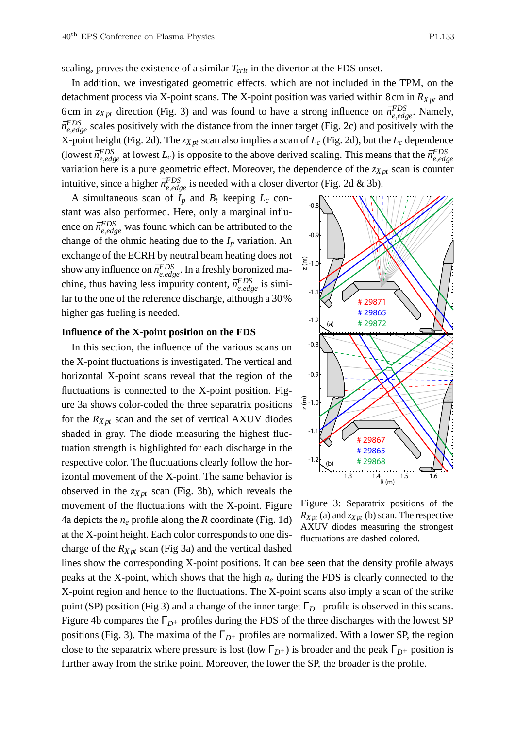scaling, proves the existence of a similar *Tcrit* in the divertor at the FDS onset.

In addition, we investigated geometric effects, which are not included in the TPM, on the detachment process via X-point scans. The X-point position was varied within 8cm in *RX pt* and 6cm in  $z_{Xpt}$  direction (Fig. 3) and was found to have a strong influence on  $\bar{n}_{e,edge}^{FDS}$ . Namely,  $\bar{n}_{e,edge}^{FDS}$  scales positively with the distance from the inner target (Fig. 2c) and positively with the X-point height (Fig. 2d). The *zX pt* scan also implies a scan of *L<sup>c</sup>* (Fig. 2d), but the *L<sup>c</sup>* dependence (lowest  $\bar{n}_{e,edge}^{FDS}$  at lowest  $L_c$ ) is opposite to the above derived scaling. This means that the  $\bar{n}_{e,edge}^{FDS}$ *e*,*edge* variation here is a pure geometric effect. Moreover, the dependence of the *zX pt* scan is counter intuitive, since a higher  $\bar{n}_{e,edge}^{FDS}$  is needed with a closer divertor (Fig. 2d & 3b).

A simultaneous scan of  $I_p$  and  $B_t$  keeping  $L_c$  constant was also performed. Here, only a marginal influence on  $\bar{n}_{e,edge}^{FDS}$  was found which can be attributed to the change of the ohmic heating due to the  $I_p$  variation. An exchange of the ECRH by neutral beam heating does not show any influence on  $\bar{n}_{e,edge}^{FDS}$ . In a freshly boronized machine, thus having less impurity content,  $\bar{n}_{e,edge}^{FDS}$  is similar to the one of the reference discharge, although a 30% higher gas fueling is needed.

#### **Influence of the X-point position on the FDS**

In this section, the influence of the various scans on the X-point fluctuations is investigated. The vertical and horizontal X-point scans reveal that the region of the fluctuations is connected to the X-point position. Figure 3a shows color-coded the three separatrix positions for the  $R_{Xpt}$  scan and the set of vertical AXUV diodes shaded in gray. The diode measuring the highest fluctuation strength is highlighted for each discharge in the respective color. The fluctuations clearly follow the horizontal movement of the X-point. The same behavior is observed in the *zX pt* scan (Fig. 3b), which reveals the movement of the fluctuations with the X-point. Figure 4a depicts the  $n_e$  profile along the *R* coordinate (Fig. 1d) at the X-point height. Each color corresponds to one discharge of the *RX pt* scan (Fig 3a) and the vertical dashed



Figure 3: Separatrix positions of the  $R_{Xpt}$  (a) and  $z_{Xpt}$  (b) scan. The respective AXUV diodes measuring the strongest fluctuations are dashed colored.

lines show the corresponding X-point positions. It can bee seen that the density profile always peaks at the X-point, which shows that the high *n<sup>e</sup>* during the FDS is clearly connected to the X-point region and hence to the fluctuations. The X-point scans also imply a scan of the strike point (SP) position (Fig 3) and a change of the inner target  $\Gamma_{D^+}$  profile is observed in this scans. Figure 4b compares the  $\Gamma_{D^+}$  profiles during the FDS of the three discharges with the lowest SP positions (Fig. 3). The maxima of the Γ*D*<sup>+</sup> profiles are normalized. With a lower SP, the region close to the separatrix where pressure is lost (low  $\Gamma_{D^+}$ ) is broader and the peak  $\Gamma_{D^+}$  position is further away from the strike point. Moreover, the lower the SP, the broader is the profile.